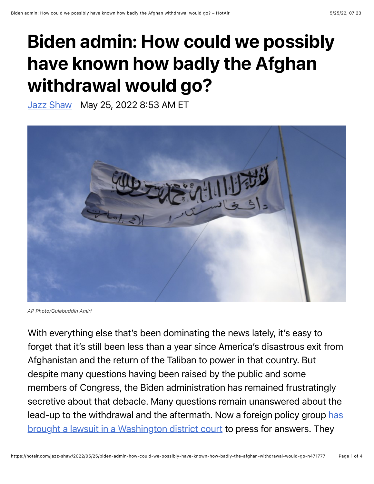## Biden admin: How could we possibly have known how badly the Afghan withdrawal would go?

[Jazz Shaw](https://hotair.com/author/jazz-shaw) May 25, 2022 8:53 AM ET



*AP Photo/Gulabuddin Amiri*

With everything else that's been dominating the news lately, it's easy to forget that it's still been less than a year since America's disastrous exit from Afghanistan and the return of the Taliban to power in that country. But despite many questions having been raised by the public and some members of Congress, the Biden administration has remained frustratingly secretive about that debacle. Many questions remain unanswered about the [lead-up to the withdrawal and the aftermath. Now a foreign policy group has](https://freebeacon.com/biden-administration/biden-admin-withholds-info-on-bungled-afghanistan-withdrawal-lawsuit-says/) brought a lawsuit in a Washington district court to press for answers. They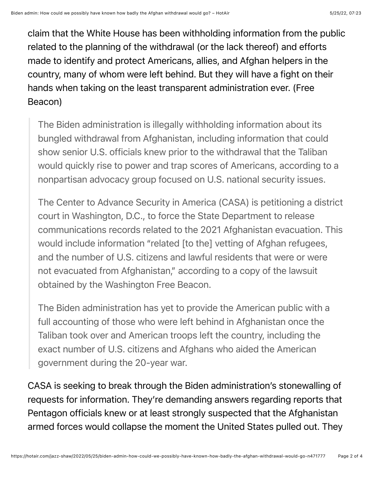claim that the White House has been withholding information from the public related to the planning of the withdrawal (or the lack thereof) and efforts made to identify and protect Americans, allies, and Afghan helpers in the country, many of whom were left behind. But they will have a fight on their hands when taking on the least transparent administration ever. (Free Beacon)

The Biden administration is illegally withholding information about its bungled withdrawal from Afghanistan, including information that could show senior U.S. officials knew prior to the withdrawal that the Taliban would quickly rise to power and trap scores of Americans, according to a nonpartisan advocacy group focused on U.S. national security issues.

The Center to Advance Security in America (CASA) is petitioning a district court in Washington, D.C., to force the State Department to release communications records related to the 2021 Afghanistan evacuation. This would include information "related [to the] vetting of Afghan refugees, and the number of U.S. citizens and lawful residents that were or were not evacuated from Afghanistan," according to a copy of the lawsuit obtained by the Washington Free Beacon.

The Biden administration has yet to provide the American public with a full accounting of those who were left behind in Afghanistan once the Taliban took over and American troops left the country, including the exact number of U.S. citizens and Afghans who aided the American government during the 20-year war.

CASA is seeking to break through the Biden administration's stonewalling of requests for information. They're demanding answers regarding reports that Pentagon officials knew or at least strongly suspected that the Afghanistan armed forces would collapse the moment the United States pulled out. They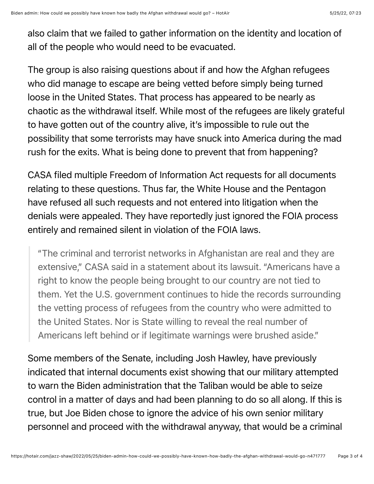also claim that we failed to gather information on the identity and location of all of the people who would need to be evacuated.

The group is also raising questions about if and how the Afghan refugees who did manage to escape are being vetted before simply being turned loose in the United States. That process has appeared to be nearly as chaotic as the withdrawal itself. While most of the refugees are likely grateful to have gotten out of the country alive, it's impossible to rule out the possibility that some terrorists may have snuck into America during the mad rush for the exits. What is being done to prevent that from happening?

CASA filed multiple Freedom of Information Act requests for all documents relating to these questions. Thus far, the White House and the Pentagon have refused all such requests and not entered into litigation when the denials were appealed. They have reportedly just ignored the FOIA process entirely and remained silent in violation of the FOIA laws.

"The criminal and terrorist networks in Afghanistan are real and they are extensive," CASA said in a statement about its lawsuit. "Americans have a right to know the people being brought to our country are not tied to them. Yet the U.S. government continues to hide the records surrounding the vetting process of refugees from the country who were admitted to the United States. Nor is State willing to reveal the real number of Americans left behind or if legitimate warnings were brushed aside."

Some members of the Senate, including Josh Hawley, have previously indicated that internal documents exist showing that our military attempted to warn the Biden administration that the Taliban would be able to seize control in a matter of days and had been planning to do so all along. If this is true, but Joe Biden chose to ignore the advice of his own senior military personnel and proceed with the withdrawal anyway, that would be a criminal